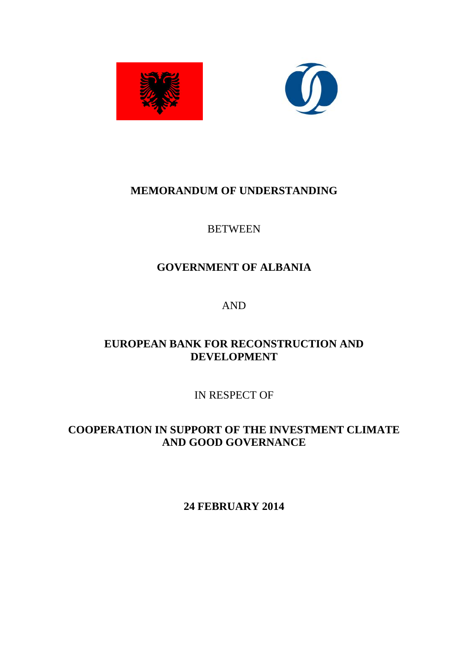



# **MEMORANDUM OF UNDERSTANDING**

## **BETWEEN**

# **GOVERNMENT OF ALBANIA**

AND

# **EUROPEAN BANK FOR RECONSTRUCTION AND DEVELOPMENT**

IN RESPECT OF

**COOPERATION IN SUPPORT OF THE INVESTMENT CLIMATE AND GOOD GOVERNANCE** 

**24 FEBRUARY 2014**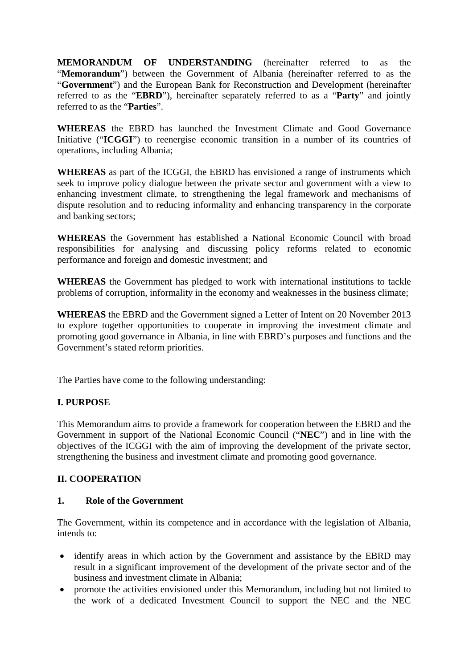**MEMORANDUM OF UNDERSTANDING** (hereinafter referred to as the "**Memorandum**") between the Government of Albania (hereinafter referred to as the "**Government**") and the European Bank for Reconstruction and Development (hereinafter referred to as the "**EBRD**"), hereinafter separately referred to as a "**Party**" and jointly referred to as the "**Parties**".

**WHEREAS** the EBRD has launched the Investment Climate and Good Governance Initiative ("**ICGGI**") to reenergise economic transition in a number of its countries of operations, including Albania;

**WHEREAS** as part of the ICGGI, the EBRD has envisioned a range of instruments which seek to improve policy dialogue between the private sector and government with a view to enhancing investment climate, to strengthening the legal framework and mechanisms of dispute resolution and to reducing informality and enhancing transparency in the corporate and banking sectors;

**WHEREAS** the Government has established a National Economic Council with broad responsibilities for analysing and discussing policy reforms related to economic performance and foreign and domestic investment; and

**WHEREAS** the Government has pledged to work with international institutions to tackle problems of corruption, informality in the economy and weaknesses in the business climate;

**WHEREAS** the EBRD and the Government signed a Letter of Intent on 20 November 2013 to explore together opportunities to cooperate in improving the investment climate and promoting good governance in Albania, in line with EBRD's purposes and functions and the Government's stated reform priorities.

The Parties have come to the following understanding:

### **I. PURPOSE**

This Memorandum aims to provide a framework for cooperation between the EBRD and the Government in support of the National Economic Council ("**NEC**") and in line with the objectives of the ICGGI with the aim of improving the development of the private sector, strengthening the business and investment climate and promoting good governance.

### **II. COOPERATION**

### **1. Role of the Government**

The Government, within its competence and in accordance with the legislation of Albania, intends to:

- identify areas in which action by the Government and assistance by the EBRD may result in a significant improvement of the development of the private sector and of the business and investment climate in Albania;
- promote the activities envisioned under this Memorandum, including but not limited to the work of a dedicated Investment Council to support the NEC and the NEC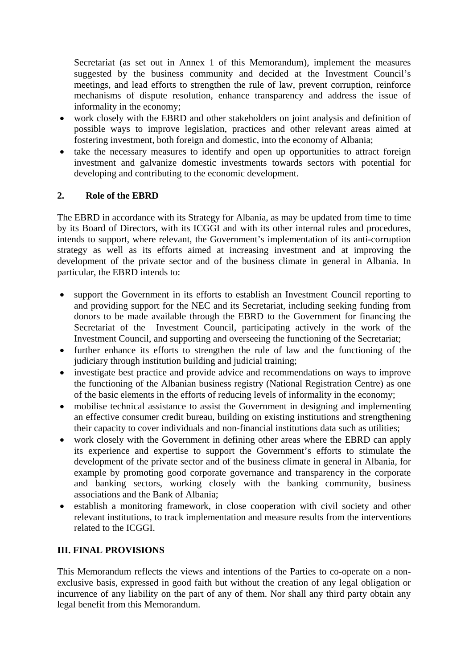Secretariat (as set out in Annex 1 of this Memorandum), implement the measures suggested by the business community and decided at the Investment Council's meetings, and lead efforts to strengthen the rule of law, prevent corruption, reinforce mechanisms of dispute resolution, enhance transparency and address the issue of informality in the economy;

- work closely with the EBRD and other stakeholders on joint analysis and definition of possible ways to improve legislation, practices and other relevant areas aimed at fostering investment, both foreign and domestic, into the economy of Albania;
- take the necessary measures to identify and open up opportunities to attract foreign investment and galvanize domestic investments towards sectors with potential for developing and contributing to the economic development.

## **2. Role of the EBRD**

The EBRD in accordance with its Strategy for Albania, as may be updated from time to time by its Board of Directors, with its ICGGI and with its other internal rules and procedures, intends to support, where relevant, the Government's implementation of its anti-corruption strategy as well as its efforts aimed at increasing investment and at improving the development of the private sector and of the business climate in general in Albania. In particular, the EBRD intends to:

- support the Government in its efforts to establish an Investment Council reporting to and providing support for the NEC and its Secretariat, including seeking funding from donors to be made available through the EBRD to the Government for financing the Secretariat of the Investment Council, participating actively in the work of the Investment Council, and supporting and overseeing the functioning of the Secretariat;
- further enhance its efforts to strengthen the rule of law and the functioning of the judiciary through institution building and judicial training;
- investigate best practice and provide advice and recommendations on ways to improve the functioning of the Albanian business registry (National Registration Centre) as one of the basic elements in the efforts of reducing levels of informality in the economy;
- mobilise technical assistance to assist the Government in designing and implementing an effective consumer credit bureau, building on existing institutions and strengthening their capacity to cover individuals and non-financial institutions data such as utilities;
- work closely with the Government in defining other areas where the EBRD can apply its experience and expertise to support the Government's efforts to stimulate the development of the private sector and of the business climate in general in Albania, for example by promoting good corporate governance and transparency in the corporate and banking sectors, working closely with the banking community, business associations and the Bank of Albania;
- establish a monitoring framework, in close cooperation with civil society and other relevant institutions, to track implementation and measure results from the interventions related to the ICGGI.

## **III. FINAL PROVISIONS**

This Memorandum reflects the views and intentions of the Parties to co-operate on a nonexclusive basis, expressed in good faith but without the creation of any legal obligation or incurrence of any liability on the part of any of them. Nor shall any third party obtain any legal benefit from this Memorandum.